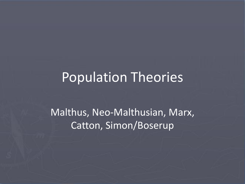### Population Theories

Malthus, Neo-Malthusian, Marx, Catton, Simon/Boserup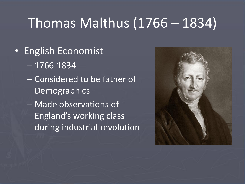# Thomas Malthus (1766 – 1834)

- English Economist
	- 1766-1834
	- Considered to be father of **Demographics**
	- Made observations of England's working class during industrial revolution

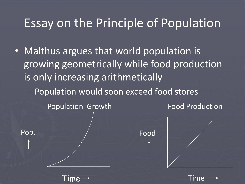#### Essay on the Principle of Population

• Malthus argues that world population is growing geometrically while food production is only increasing arithmetically

– Population would soon exceed food stores

Food Population Growth **Food Production** 

Time

Time

Pop.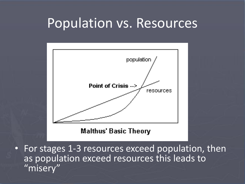#### Population vs. Resources



**Malthus' Basic Theory** 

• For stages 1-3 resources exceed population, then as population exceed resources this leads to "misery"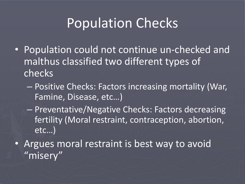## Population Checks

- Population could not continue un-checked and malthus classified two different types of checks
	- Positive Checks: Factors increasing mortality (War, Famine, Disease, etc…)
	- Preventative/Negative Checks: Factors decreasing fertility (Moral restraint, contraception, abortion, etc…)
- Argues moral restraint is best way to avoid "misery"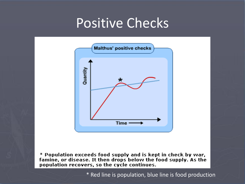### Positive Checks



\* Population exceeds food supply and is kept in check by war, famine, or disease. It then drops below the food supply. As the population recovers, so the cycle continues.

\* Red line is population, blue line is food production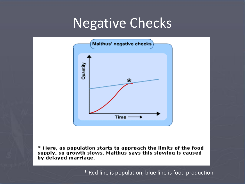### Negative Checks



\* Here, as population starts to approach the limits of the food supply, so growth slows. Malthus says this slowing is caused by delayed marriage.

\* Red line is population, blue line is food production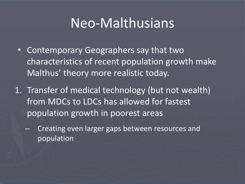### Neo-Malthusians

- Contemporary Geographers say that two characteristics of recent population growth make Malthus' theory more realistic today.
- 1. Transfer of medical technology (but not wealth) from MDCs to LDCs has allowed for fastest population growth in poorest areas
	- Creating even larger gaps between resources and population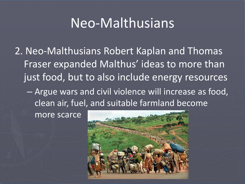## Neo-Malthusians

2. Neo-Malthusians Robert Kaplan and Thomas Fraser expanded Malthus' ideas to more than just food, but to also include energy resources

– Argue wars and civil violence will increase as food, clean air, fuel, and suitable farmland become

more scarce

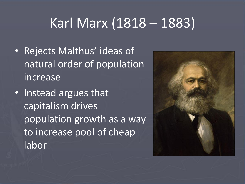# Karl Marx (1818 – 1883)

- Rejects Malthus' ideas of natural order of population increase
- Instead argues that capitalism drives population growth as a way to increase pool of cheap labor

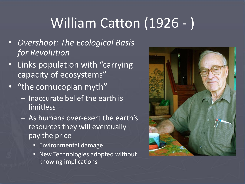# William Catton (1926 - )

- *Overshoot: The Ecological Basis for Revolution*
- Links population with "carrying capacity of ecosystems"
- "the cornucopian myth"
	- Inaccurate belief the earth is limitless
	- As humans over-exert the earth's resources they will eventually pay the price
		- Environmental damage
		- New Technologies adopted without knowing implications

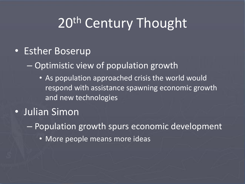# 20<sup>th</sup> Century Thought

#### • Esther Boserup

– Optimistic view of population growth

• As population approached crisis the world would respond with assistance spawning economic growth and new technologies

#### • Julian Simon

– Population growth spurs economic development

• More people means more ideas